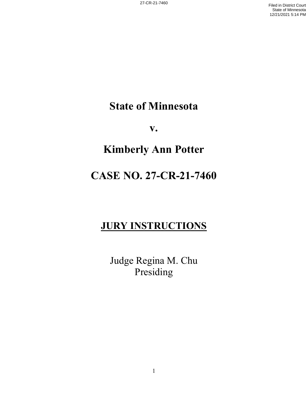## **State of Minnesota**

**v.**

# **Kimberly Ann Potter**

## **CASE NO. 27-CR-21-7460**

## **JURY INSTRUCTIONS**

Judge Regina M. Chu Presiding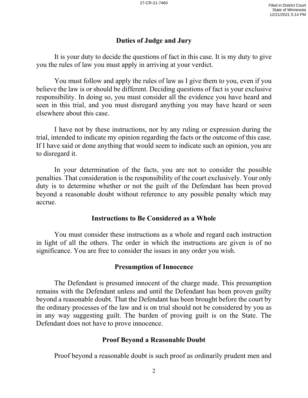### **Duties of Judge and Jury**

It is your duty to decide the questions of fact in this case. It is my duty to give you the rules of law you must apply in arriving at your verdict.

You must follow and apply the rules of law as I give them to you, even if you believe the law is or should be different. Deciding questions of fact is your exclusive responsibility. In doing so, you must consider all the evidence you have heard and seen in this trial, and you must disregard anything you may have heard or seen elsewhere about this case.

I have not by these instructions, nor by any ruling or expression during the trial, intended to indicate my opinion regarding the facts or the outcome of this case. If I have said or done anything that would seem to indicate such an opinion, you are to disregard it.

In your determination of the facts, you are not to consider the possible penalties. That consideration is the responsibility of the court exclusively. Your only duty is to determine whether or not the guilt of the Defendant has been proved beyond a reasonable doubt without reference to any possible penalty which may accrue.

#### **Instructions to Be Considered as a Whole**

You must consider these instructions as a whole and regard each instruction in light of all the others. The order in which the instructions are given is of no significance. You are free to consider the issues in any order you wish.

#### **Presumption of Innocence**

The Defendant is presumed innocent of the charge made. This presumption remains with the Defendant unless and until the Defendant has been proven guilty beyond a reasonable doubt. That the Defendant has been brought before the court by the ordinary processes of the law and is on trial should not be considered by you as in any way suggesting guilt. The burden of proving guilt is on the State. The Defendant does not have to prove innocence.

#### **Proof Beyond a Reasonable Doubt**

Proof beyond a reasonable doubt is such proof as ordinarily prudent men and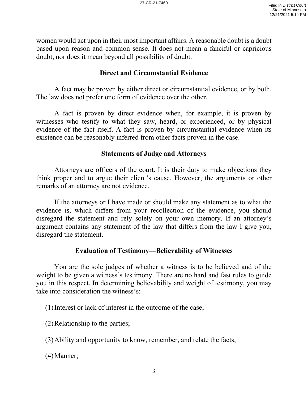women would act upon in their most important affairs. A reasonable doubt is a doubt based upon reason and common sense. It does not mean a fanciful or capricious doubt, nor does it mean beyond all possibility of doubt.

## **Direct and Circumstantial Evidence**

A fact may be proven by either direct or circumstantial evidence, or by both. The law does not prefer one form of evidence over the other.

A fact is proven by direct evidence when, for example, it is proven by witnesses who testify to what they saw, heard, or experienced, or by physical evidence of the fact itself. A fact is proven by circumstantial evidence when its existence can be reasonably inferred from other facts proven in the case.

#### **Statements of Judge and Attorneys**

Attorneys are officers of the court. It is their duty to make objections they think proper and to argue their client's cause. However, the arguments or other remarks of an attorney are not evidence.

If the attorneys or I have made or should make any statement as to what the evidence is, which differs from your recollection of the evidence, you should disregard the statement and rely solely on your own memory. If an attorney's argument contains any statement of the law that differs from the law I give you, disregard the statement.

#### **Evaluation of Testimony—Believability of Witnesses**

You are the sole judges of whether a witness is to be believed and of the weight to be given a witness's testimony. There are no hard and fast rules to guide you in this respect. In determining believability and weight of testimony, you may take into consideration the witness's:

(1)Interest or lack of interest in the outcome of the case;

(2)Relationship to the parties;

(3)Ability and opportunity to know, remember, and relate the facts;

(4)Manner;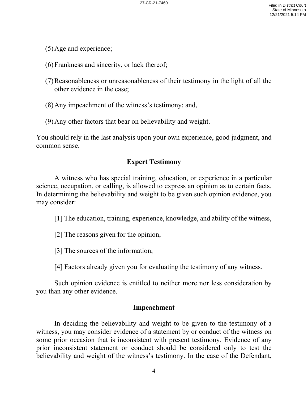- (5)Age and experience;
- (6)Frankness and sincerity, or lack thereof;
- (7)Reasonableness or unreasonableness of their testimony in the light of all the other evidence in the case;
- (8)Any impeachment of the witness's testimony; and,
- (9)Any other factors that bear on believability and weight.

You should rely in the last analysis upon your own experience, good judgment, and common sense.

## **Expert Testimony**

A witness who has special training, education, or experience in a particular science, occupation, or calling, is allowed to express an opinion as to certain facts. In determining the believability and weight to be given such opinion evidence, you may consider:

[1] The education, training, experience, knowledge, and ability of the witness,

- [2] The reasons given for the opinion,
- [3] The sources of the information,

[4] Factors already given you for evaluating the testimony of any witness.

Such opinion evidence is entitled to neither more nor less consideration by you than any other evidence.

## **Impeachment**

In deciding the believability and weight to be given to the testimony of a witness, you may consider evidence of a statement by or conduct of the witness on some prior occasion that is inconsistent with present testimony. Evidence of any prior inconsistent statement or conduct should be considered only to test the believability and weight of the witness's testimony. In the case of the Defendant,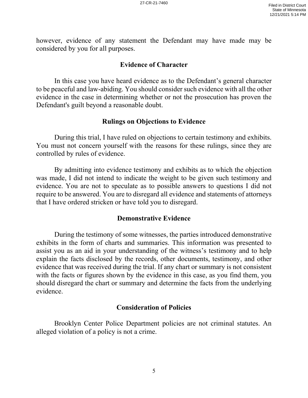however, evidence of any statement the Defendant may have made may be considered by you for all purposes.

#### **Evidence of Character**

In this case you have heard evidence as to the Defendant's general character to be peaceful and law-abiding. You should consider such evidence with all the other evidence in the case in determining whether or not the prosecution has proven the Defendant's guilt beyond a reasonable doubt.

#### **Rulings on Objections to Evidence**

During this trial, I have ruled on objections to certain testimony and exhibits. You must not concern yourself with the reasons for these rulings, since they are controlled by rules of evidence.

By admitting into evidence testimony and exhibits as to which the objection was made, I did not intend to indicate the weight to be given such testimony and evidence. You are not to speculate as to possible answers to questions I did not require to be answered. You are to disregard all evidence and statements of attorneys that I have ordered stricken or have told you to disregard.

#### **Demonstrative Evidence**

During the testimony of some witnesses, the parties introduced demonstrative exhibits in the form of charts and summaries. This information was presented to assist you as an aid in your understanding of the witness's testimony and to help explain the facts disclosed by the records, other documents, testimony, and other evidence that was received during the trial. If any chart or summary is not consistent with the facts or figures shown by the evidence in this case, as you find them, you should disregard the chart or summary and determine the facts from the underlying evidence.

#### **Consideration of Policies**

Brooklyn Center Police Department policies are not criminal statutes. An alleged violation of a policy is not a crime.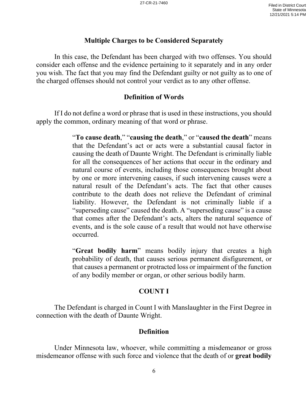#### **Multiple Charges to be Considered Separately**

In this case, the Defendant has been charged with two offenses. You should consider each offense and the evidence pertaining to it separately and in any order you wish. The fact that you may find the Defendant guilty or not guilty as to one of the charged offenses should not control your verdict as to any other offense.

## **Definition of Words**

If I do not define a word or phrase that is used in these instructions, you should apply the common, ordinary meaning of that word or phrase.

> "**To cause death**," "**causing the death**," or "**caused the death**" means that the Defendant's act or acts were a substantial causal factor in causing the death of Daunte Wright. The Defendant is criminally liable for all the consequences of her actions that occur in the ordinary and natural course of events, including those consequences brought about by one or more intervening causes, if such intervening causes were a natural result of the Defendant's acts. The fact that other causes contribute to the death does not relieve the Defendant of criminal liability. However, the Defendant is not criminally liable if a "superseding cause" caused the death. A "superseding cause" is a cause that comes after the Defendant's acts, alters the natural sequence of events, and is the sole cause of a result that would not have otherwise occurred.

> "**Great bodily harm**" means bodily injury that creates a high probability of death, that causes serious permanent disfigurement, or that causes a permanent or protracted loss or impairment of the function of any bodily member or organ, or other serious bodily harm.

## **COUNT I**

The Defendant is charged in Count I with Manslaughter in the First Degree in connection with the death of Daunte Wright.

## **Definition**

Under Minnesota law, whoever, while committing a misdemeanor or gross misdemeanor offense with such force and violence that the death of or **great bodily**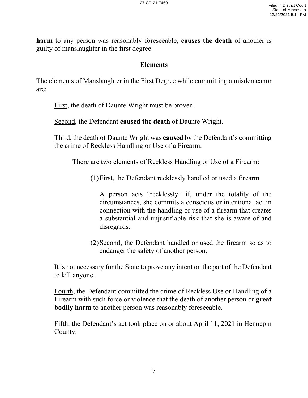**harm** to any person was reasonably foreseeable, **causes the death** of another is guilty of manslaughter in the first degree.

#### **Elements**

The elements of Manslaughter in the First Degree while committing a misdemeanor are:

First, the death of Daunte Wright must be proven.

Second, the Defendant **caused the death** of Daunte Wright.

Third, the death of Daunte Wright was **caused** by the Defendant's committing the crime of Reckless Handling or Use of a Firearm.

There are two elements of Reckless Handling or Use of a Firearm:

(1)First, the Defendant recklessly handled or used a firearm.

A person acts "recklessly" if, under the totality of the circumstances, she commits a conscious or intentional act in connection with the handling or use of a firearm that creates a substantial and unjustifiable risk that she is aware of and disregards.

(2)Second, the Defendant handled or used the firearm so as to endanger the safety of another person.

It is not necessary for the State to prove any intent on the part of the Defendant to kill anyone.

Fourth, the Defendant committed the crime of Reckless Use or Handling of a Firearm with such force or violence that the death of another person or **great bodily harm** to another person was reasonably foreseeable.

Fifth, the Defendant's act took place on or about April 11, 2021 in Hennepin County.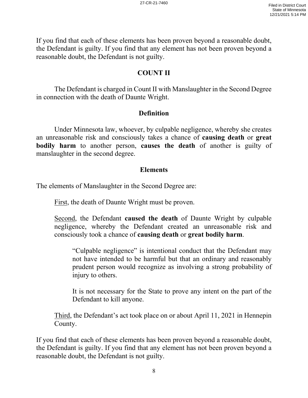If you find that each of these elements has been proven beyond a reasonable doubt, the Defendant is guilty. If you find that any element has not been proven beyond a reasonable doubt, the Defendant is not guilty.

## **COUNT II**

The Defendant is charged in Count II with Manslaughter in the Second Degree in connection with the death of Daunte Wright.

#### **Definition**

Under Minnesota law, whoever, by culpable negligence, whereby she creates an unreasonable risk and consciously takes a chance of **causing death** or **great bodily harm** to another person, **causes the death** of another is guilty of manslaughter in the second degree.

#### **Elements**

The elements of Manslaughter in the Second Degree are:

First, the death of Daunte Wright must be proven.

Second, the Defendant **caused the death** of Daunte Wright by culpable negligence, whereby the Defendant created an unreasonable risk and consciously took a chance of **causing death** or **great bodily harm**.

"Culpable negligence" is intentional conduct that the Defendant may not have intended to be harmful but that an ordinary and reasonably prudent person would recognize as involving a strong probability of injury to others.

It is not necessary for the State to prove any intent on the part of the Defendant to kill anyone.

Third, the Defendant's act took place on or about April 11, 2021 in Hennepin County.

If you find that each of these elements has been proven beyond a reasonable doubt, the Defendant is guilty. If you find that any element has not been proven beyond a reasonable doubt, the Defendant is not guilty.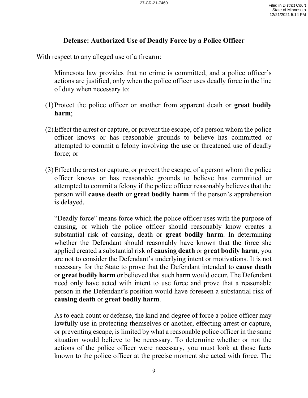## **Defense: Authorized Use of Deadly Force by a Police Officer**

With respect to any alleged use of a firearm:

Minnesota law provides that no crime is committed, and a police officer's actions are justified, only when the police officer uses deadly force in the line of duty when necessary to:

- (1)Protect the police officer or another from apparent death or **great bodily harm**;
- (2)Effect the arrest or capture, or prevent the escape, of a person whom the police officer knows or has reasonable grounds to believe has committed or attempted to commit a felony involving the use or threatened use of deadly force; or
- (3)Effect the arrest or capture, or prevent the escape, of a person whom the police officer knows or has reasonable grounds to believe has committed or attempted to commit a felony if the police officer reasonably believes that the person will **cause death** or **great bodily harm** if the person's apprehension is delayed.

"Deadly force" means force which the police officer uses with the purpose of causing, or which the police officer should reasonably know creates a substantial risk of causing, death or **great bodily harm**. In determining whether the Defendant should reasonably have known that the force she applied created a substantial risk of **causing death** or **great bodily harm**, you are not to consider the Defendant's underlying intent or motivations. It is not necessary for the State to prove that the Defendant intended to **cause death** or **great bodily harm** or believed that such harm would occur. The Defendant need only have acted with intent to use force and prove that a reasonable person in the Defendant's position would have foreseen a substantial risk of **causing death** or **great bodily harm**.

As to each count or defense, the kind and degree of force a police officer may lawfully use in protecting themselves or another, effecting arrest or capture, or preventing escape, is limited by what a reasonable police officer in the same situation would believe to be necessary. To determine whether or not the actions of the police officer were necessary, you must look at those facts known to the police officer at the precise moment she acted with force. The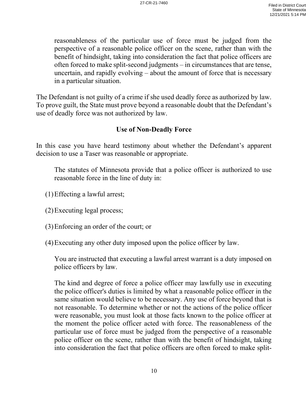reasonableness of the particular use of force must be judged from the perspective of a reasonable police officer on the scene, rather than with the benefit of hindsight, taking into consideration the fact that police officers are often forced to make split-second judgments – in circumstances that are tense, uncertain, and rapidly evolving – about the amount of force that is necessary in a particular situation.

The Defendant is not guilty of a crime if she used deadly force as authorized by law. To prove guilt, the State must prove beyond a reasonable doubt that the Defendant's use of deadly force was not authorized by law.

## **Use of Non-Deadly Force**

In this case you have heard testimony about whether the Defendant's apparent decision to use a Taser was reasonable or appropriate.

The statutes of Minnesota provide that a police officer is authorized to use reasonable force in the line of duty in:

- (1)Effecting a lawful arrest;
- (2)Executing legal process;
- (3)Enforcing an order of the court; or
- (4)Executing any other duty imposed upon the police officer by law.

You are instructed that executing a lawful arrest warrant is a duty imposed on police officers by law.

The kind and degree of force a police officer may lawfully use in executing the police officer's duties is limited by what a reasonable police officer in the same situation would believe to be necessary. Any use of force beyond that is not reasonable. To determine whether or not the actions of the police officer were reasonable, you must look at those facts known to the police officer at the moment the police officer acted with force. The reasonableness of the particular use of force must be judged from the perspective of a reasonable police officer on the scene, rather than with the benefit of hindsight, taking into consideration the fact that police officers are often forced to make split-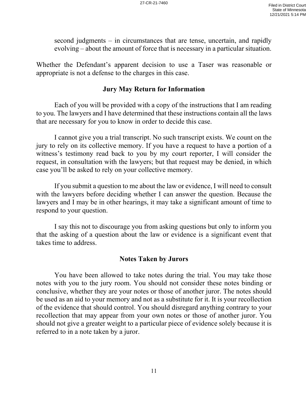second judgments – in circumstances that are tense, uncertain, and rapidly evolving – about the amount of force that is necessary in a particular situation.

Whether the Defendant's apparent decision to use a Taser was reasonable or appropriate is not a defense to the charges in this case.

### **Jury May Return for Information**

Each of you will be provided with a copy of the instructions that I am reading to you. The lawyers and I have determined that these instructions contain all the laws that are necessary for you to know in order to decide this case.

I cannot give you a trial transcript. No such transcript exists. We count on the jury to rely on its collective memory. If you have a request to have a portion of a witness's testimony read back to you by my court reporter, I will consider the request, in consultation with the lawyers; but that request may be denied, in which case you'll be asked to rely on your collective memory.

If you submit a question to me about the law or evidence, I will need to consult with the lawyers before deciding whether I can answer the question. Because the lawyers and I may be in other hearings, it may take a significant amount of time to respond to your question.

I say this not to discourage you from asking questions but only to inform you that the asking of a question about the law or evidence is a significant event that takes time to address.

#### **Notes Taken by Jurors**

You have been allowed to take notes during the trial. You may take those notes with you to the jury room. You should not consider these notes binding or conclusive, whether they are your notes or those of another juror. The notes should be used as an aid to your memory and not as a substitute for it. It is your recollection of the evidence that should control. You should disregard anything contrary to your recollection that may appear from your own notes or those of another juror. You should not give a greater weight to a particular piece of evidence solely because it is referred to in a note taken by a juror.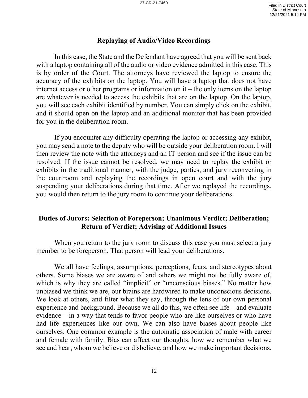#### **Replaying of Audio/Video Recordings**

In this case, the State and the Defendant have agreed that you will be sent back with a laptop containing all of the audio or video evidence admitted in this case. This is by order of the Court. The attorneys have reviewed the laptop to ensure the accuracy of the exhibits on the laptop. You will have a laptop that does not have internet access or other programs or information on it – the only items on the laptop are whatever is needed to access the exhibits that are on the laptop. On the laptop, you will see each exhibit identified by number. You can simply click on the exhibit, and it should open on the laptop and an additional monitor that has been provided for you in the deliberation room.

If you encounter any difficulty operating the laptop or accessing any exhibit, you may send a note to the deputy who will be outside your deliberation room. I will then review the note with the attorneys and an IT person and see if the issue can be resolved. If the issue cannot be resolved, we may need to replay the exhibit or exhibits in the traditional manner, with the judge, parties, and jury reconvening in the courtroom and replaying the recordings in open court and with the jury suspending your deliberations during that time. After we replayed the recordings, you would then return to the jury room to continue your deliberations.

### **Duties of Jurors: Selection of Foreperson; Unanimous Verdict; Deliberation; Return of Verdict; Advising of Additional Issues**

When you return to the jury room to discuss this case you must select a jury member to be foreperson. That person will lead your deliberations.

We all have feelings, assumptions, perceptions, fears, and stereotypes about others. Some biases we are aware of and others we might not be fully aware of, which is why they are called "implicit" or "unconscious biases." No matter how unbiased we think we are, our brains are hardwired to make unconscious decisions. We look at others, and filter what they say, through the lens of our own personal experience and background. Because we all do this, we often see life – and evaluate evidence – in a way that tends to favor people who are like ourselves or who have had life experiences like our own. We can also have biases about people like ourselves. One common example is the automatic association of male with career and female with family. Bias can affect our thoughts, how we remember what we see and hear, whom we believe or disbelieve, and how we make important decisions.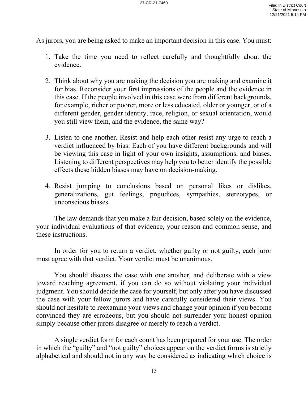As jurors, you are being asked to make an important decision in this case. You must:

- 1. Take the time you need to reflect carefully and thoughtfully about the evidence.
- 2. Think about why you are making the decision you are making and examine it for bias. Reconsider your first impressions of the people and the evidence in this case. If the people involved in this case were from different backgrounds, for example, richer or poorer, more or less educated, older or younger, or of a different gender, gender identity, race, religion, or sexual orientation, would you still view them, and the evidence, the same way?
- 3. Listen to one another. Resist and help each other resist any urge to reach a verdict influenced by bias. Each of you have different backgrounds and will be viewing this case in light of your own insights, assumptions, and biases. Listening to different perspectives may help you to better identify the possible effects these hidden biases may have on decision-making.
- 4. Resist jumping to conclusions based on personal likes or dislikes, generalizations, gut feelings, prejudices, sympathies, stereotypes, or unconscious biases.

The law demands that you make a fair decision, based solely on the evidence, your individual evaluations of that evidence, your reason and common sense, and these instructions.

 In order for you to return a verdict, whether guilty or not guilty, each juror must agree with that verdict. Your verdict must be unanimous.

You should discuss the case with one another, and deliberate with a view toward reaching agreement, if you can do so without violating your individual judgment. You should decide the case for yourself, but only after you have discussed the case with your fellow jurors and have carefully considered their views. You should not hesitate to reexamine your views and change your opinion if you become convinced they are erroneous, but you should not surrender your honest opinion simply because other jurors disagree or merely to reach a verdict.

A single verdict form for each count has been prepared for your use. The order in which the "guilty" and "not guilty" choices appear on the verdict forms is strictly alphabetical and should not in any way be considered as indicating which choice is